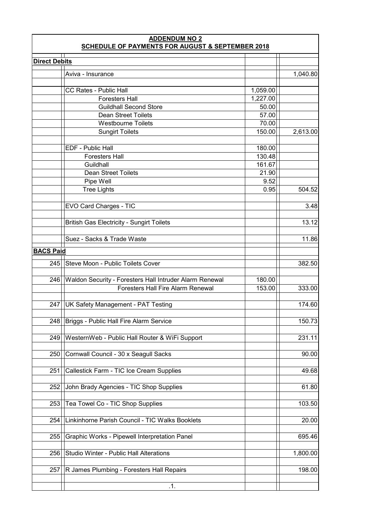| <b>ADDENDUM NO 2</b><br><b>SCHEDULE OF PAYMENTS FOR AUGUST &amp; SEPTEMBER 2018</b> |                                                         |          |          |  |  |
|-------------------------------------------------------------------------------------|---------------------------------------------------------|----------|----------|--|--|
| <b>Direct Debits</b>                                                                |                                                         |          |          |  |  |
|                                                                                     |                                                         |          |          |  |  |
|                                                                                     | Aviva - Insurance                                       |          | 1,040.80 |  |  |
|                                                                                     |                                                         |          |          |  |  |
|                                                                                     | <b>CC Rates - Public Hall</b>                           | 1,059.00 |          |  |  |
|                                                                                     | <b>Foresters Hall</b>                                   | 1,227.00 |          |  |  |
|                                                                                     | <b>Guildhall Second Store</b>                           | 50.00    |          |  |  |
|                                                                                     | <b>Dean Street Toilets</b>                              | 57.00    |          |  |  |
|                                                                                     | <b>Westbourne Toilets</b>                               | 70.00    |          |  |  |
|                                                                                     | <b>Sungirt Toilets</b>                                  | 150.00   | 2,613.00 |  |  |
|                                                                                     |                                                         |          |          |  |  |
|                                                                                     | EDF - Public Hall                                       | 180.00   |          |  |  |
|                                                                                     | <b>Foresters Hall</b>                                   | 130.48   |          |  |  |
|                                                                                     | Guildhall                                               | 161.67   |          |  |  |
|                                                                                     | <b>Dean Street Toilets</b>                              | 21.90    |          |  |  |
|                                                                                     | Pipe Well                                               | 9.52     |          |  |  |
|                                                                                     | <b>Tree Lights</b>                                      | 0.95     | 504.52   |  |  |
|                                                                                     |                                                         |          |          |  |  |
|                                                                                     | EVO Card Charges - TIC                                  |          | 3.48     |  |  |
|                                                                                     |                                                         |          |          |  |  |
|                                                                                     | <b>British Gas Electricity - Sungirt Toilets</b>        |          | 13.12    |  |  |
|                                                                                     |                                                         |          |          |  |  |
|                                                                                     | Suez - Sacks & Trade Waste                              |          | 11.86    |  |  |
| <b>BACS Paid</b>                                                                    |                                                         |          |          |  |  |
| 245                                                                                 | Steve Moon - Public Toilets Cover                       |          | 382.50   |  |  |
|                                                                                     |                                                         |          |          |  |  |
| 246                                                                                 | Waldon Security - Foresters Hall Intruder Alarm Renewal | 180.00   |          |  |  |
|                                                                                     | <b>Foresters Hall Fire Alarm Renewal</b>                | 153.00   | 333.00   |  |  |
|                                                                                     |                                                         |          |          |  |  |
| 247                                                                                 | UK Safety Management - PAT Testing                      |          | 174.60   |  |  |
|                                                                                     |                                                         |          |          |  |  |
| 248                                                                                 | Briggs - Public Hall Fire Alarm Service                 |          | 150.73   |  |  |
|                                                                                     |                                                         |          |          |  |  |
| 249                                                                                 | WesternWeb - Public Hall Router & WiFi Support          |          | 231.11   |  |  |
|                                                                                     |                                                         |          |          |  |  |
| 250                                                                                 | Cornwall Council - 30 x Seagull Sacks                   |          | 90.00    |  |  |
|                                                                                     |                                                         |          |          |  |  |
| 251                                                                                 | Callestick Farm - TIC Ice Cream Supplies                |          | 49.68    |  |  |
|                                                                                     |                                                         |          |          |  |  |
| 252                                                                                 | John Brady Agencies - TIC Shop Supplies                 |          | 61.80    |  |  |
|                                                                                     |                                                         |          |          |  |  |
| 253                                                                                 | Tea Towel Co - TIC Shop Supplies                        |          | 103.50   |  |  |
|                                                                                     |                                                         |          |          |  |  |
| 254                                                                                 | Linkinhorne Parish Council - TIC Walks Booklets         |          | 20.00    |  |  |
|                                                                                     |                                                         |          |          |  |  |
| 255                                                                                 | Graphic Works - Pipewell Interpretation Panel           |          | 695.46   |  |  |
|                                                                                     |                                                         |          |          |  |  |
| 256                                                                                 | Studio Winter - Public Hall Alterations                 |          | 1,800.00 |  |  |
|                                                                                     |                                                         |          |          |  |  |
| 257                                                                                 | R James Plumbing - Foresters Hall Repairs               |          | 198.00   |  |  |
|                                                                                     |                                                         |          |          |  |  |
|                                                                                     | .1.                                                     |          |          |  |  |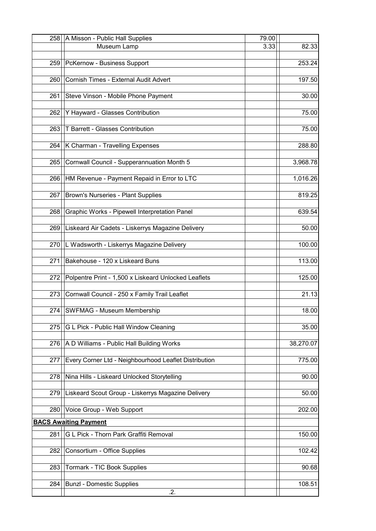| 258 | A Misson - Public Hall Supplies                       | 79.00 |           |
|-----|-------------------------------------------------------|-------|-----------|
|     | Museum Lamp                                           | 3.33  | 82.33     |
| 259 | PcKernow - Business Support                           |       | 253.24    |
|     |                                                       |       |           |
| 260 | Cornish Times - External Audit Advert                 |       | 197.50    |
|     |                                                       |       |           |
| 261 | Steve Vinson - Mobile Phone Payment                   |       | 30.00     |
| 262 | Y Hayward - Glasses Contribution                      |       | 75.00     |
|     |                                                       |       |           |
| 263 | <b>T Barrett - Glasses Contribution</b>               |       | 75.00     |
|     |                                                       |       |           |
| 264 | K Charman - Travelling Expenses                       |       | 288.80    |
| 265 | Cornwall Council - Supperannuation Month 5            |       | 3,968.78  |
|     |                                                       |       |           |
| 266 | HM Revenue - Payment Repaid in Error to LTC           |       | 1,016.26  |
|     |                                                       |       |           |
| 267 | Brown's Nurseries - Plant Supplies                    |       | 819.25    |
| 268 | Graphic Works - Pipewell Interpretation Panel         |       | 639.54    |
|     |                                                       |       |           |
| 269 | Liskeard Air Cadets - Liskerrys Magazine Delivery     |       | 50.00     |
|     |                                                       |       |           |
| 270 | L Wadsworth - Liskerrys Magazine Delivery             |       | 100.00    |
| 271 | Bakehouse - 120 x Liskeard Buns                       |       | 113.00    |
|     |                                                       |       |           |
| 272 | Polpentre Print - 1,500 x Liskeard Unlocked Leaflets  |       | 125.00    |
| 273 | Cornwall Council - 250 x Family Trail Leaflet         |       | 21.13     |
|     |                                                       |       |           |
| 274 | <b>SWFMAG - Museum Membership</b>                     |       | 18.00     |
|     |                                                       |       |           |
| 275 | G L Pick - Public Hall Window Cleaning                |       | 35.00     |
| 276 | A D Williams - Public Hall Building Works             |       | 38,270.07 |
|     |                                                       |       |           |
| 277 | Every Corner Ltd - Neighbourhood Leaflet Distribution |       | 775.00    |
|     |                                                       |       |           |
| 278 | Nina Hills - Liskeard Unlocked Storytelling           |       | 90.00     |
| 279 | Liskeard Scout Group - Liskerrys Magazine Delivery    |       | 50.00     |
|     |                                                       |       |           |
| 280 | Voice Group - Web Support                             |       | 202.00    |
|     | <b>BACS Awaiting Payment</b>                          |       |           |
| 281 | G L Pick - Thorn Park Graffiti Removal                |       | 150.00    |
|     |                                                       |       |           |
| 282 | Consortium - Office Supplies                          |       | 102.42    |
|     |                                                       |       |           |
| 283 | Tormark - TIC Book Supplies                           |       | 90.68     |
| 284 | <b>Bunzl - Domestic Supplies</b>                      |       | 108.51    |
|     | .2.                                                   |       |           |